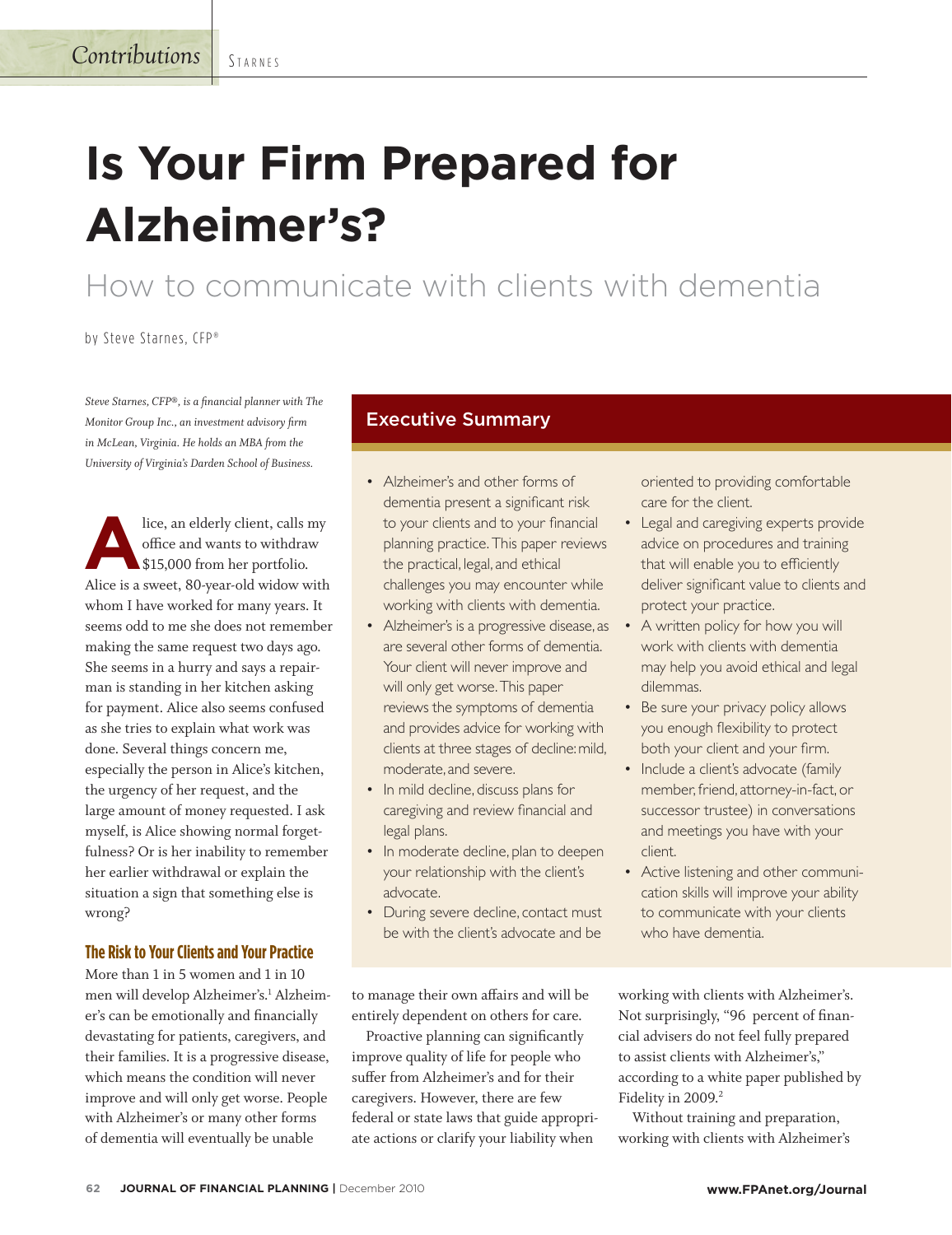**STARNES** 

# **Is Your Firm Prepared for Alzheimer's?**

How to communicate with clients with dementia

by Steve Starnes, CFP®

*Steve Starnes, CFP®, is a financial planner with The Monitor Group Inc., an investment advisory firm in McLean, Virginia. He holds an MBA from the University of Virginia's Darden School of Business.* 

**A**lice, an elderly client, calls my office and wants to withdraw \$15,000 from her portfolio. Alice is a sweet, 80-year-old widow with whom I have worked for many years. It seems odd to me she does not remember making the same request two days ago. She seems in a hurry and says a repairman is standing in her kitchen asking for payment. Alice also seems confused as she tries to explain what work was done. Several things concern me, especially the person in Alice's kitchen, the urgency of her request, and the large amount of money requested. I ask myself, is Alice showing normal forgetfulness? Or is her inability to remember her earlier withdrawal or explain the situation a sign that something else is wrong?

### **The Risk to Your Clients and Your Practice**

More than 1 in 5 women and 1 in 10 men will develop Alzheimer's.<sup>1</sup> Alzheimer's can be emotionally and financially devastating for patients, caregivers, and their families. It is a progressive disease, which means the condition will never improve and will only get worse. People with Alzheimer's or many other forms of dementia will eventually be unable

## Executive Summary

- Alzheimer's and other forms of dementia present a significant risk to your clients and to your financial planning practice. This paper reviews the practical, legal, and ethical challenges you may encounter while working with clients with dementia.
- Alzheimer's is a progressive disease, as are several other forms of dementia. Your client will never improve and will only get worse.This paper reviews the symptoms of dementia and provides advice for working with clients at three stages of decline:mild, moderate, and severe.
- In mild decline, discuss plans for caregiving and review financial and legal plans.
- In moderate decline, plan to deepen your relationship with the client's advocate.
- During severe decline, contact must be with the client's advocate and be

oriented to providing comfortable care for the client.

- Legal and caregiving experts provide advice on procedures and training that will enable you to efficiently deliver significant value to clients and protect your practice.
- A written policy for how you will work with clients with dementia may help you avoid ethical and legal dilemmas.
- Be sure your privacy policy allows you enough flexibility to protect both your client and your firm.
- Include a client's advocate (family member, friend, attorney-in-fact, or successor trustee) in conversations and meetings you have with your client.
- Active listening and other communication skills will improve your ability to communicate with your clients who have dementia.

to manage their own affairs and will be entirely dependent on others for care.

Proactive planning can significantly improve quality of life for people who suffer from Alzheimer's and for their caregivers. However, there are few federal or state laws that guide appropriate actions or clarify your liability when

working with clients with Alzheimer's. Not surprisingly, "96 percent of financial advisers do not feel fully prepared to assist clients with Alzheimer's," according to a white paper published by Fidelity in 2009.<sup>2</sup>

Without training and preparation, working with clients with Alzheimer's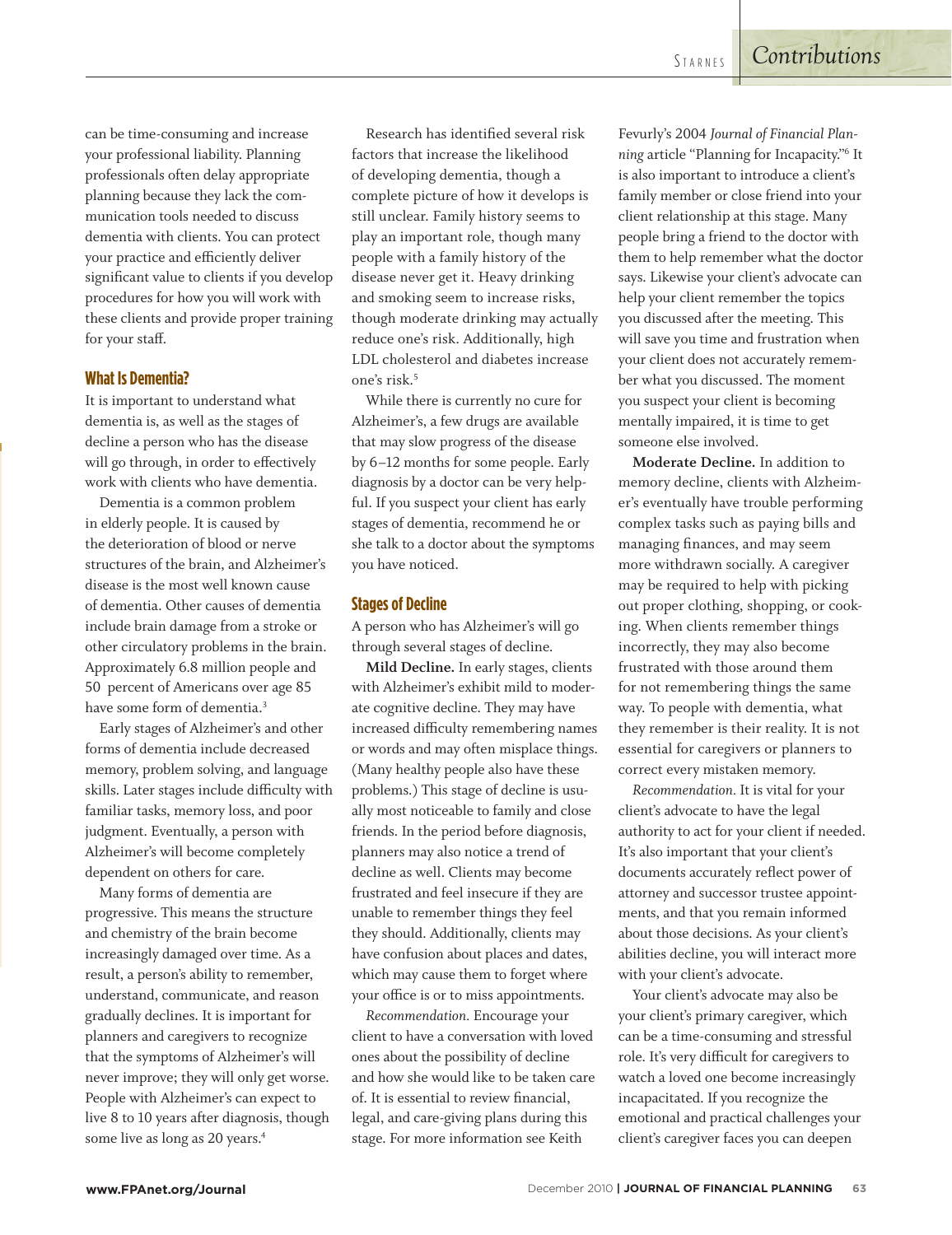can be time-consuming and increase your professional liability. Planning professionals often delay appropriate planning because they lack the communication tools needed to discuss dementia with clients. You can protect your practice and efficiently deliver significant value to clients if you develop procedures for how you will work with these clients and provide proper training for your staff.

#### **What Is Dementia?**

It is important to understand what dementia is, as well as the stages of decline a person who has the disease will go through, in order to effectively work with clients who have dementia.

Dementia is a common problem in elderly people. It is caused by the deterioration of blood or nerve structures of the brain, and Alzheimer's disease is the most well known cause of dementia. Other causes of dementia include brain damage from a stroke or other circulatory problems in the brain. Approximately 6.8 million people and 50 percent of Americans over age 85 have some form of dementia.<sup>3</sup>

Early stages of Alzheimer's and other forms of dementia include decreased memory, problem solving, and language skills. Later stages include difficulty with familiar tasks, memory loss, and poor judgment. Eventually, a person with Alzheimer's will become completely dependent on others for care.

Many forms of dementia are progressive. This means the structure and chemistry of the brain become increasingly damaged over time. As a result, a person's ability to remember, understand, communicate, and reason gradually declines. It is important for planners and caregivers to recognize that the symptoms of Alzheimer's will never improve; they will only get worse. People with Alzheimer's can expect to live 8 to 10 years after diagnosis, though some live as long as 20 years.<sup>4</sup>

Research has identified several risk factors that increase the likelihood of developing dementia, though a complete picture of how it develops is still unclear. Family history seems to play an important role, though many people with a family history of the disease never get it. Heavy drinking and smoking seem to increase risks, though moderate drinking may actually reduce one's risk. Additionally, high LDL cholesterol and diabetes increase one's risk.5

While there is currently no cure for Alzheimer's, a few drugs are available that may slow progress of the disease by 6–12 months for some people. Early diagnosis by a doctor can be very helpful. If you suspect your client has early stages of dementia, recommend he or she talk to a doctor about the symptoms you have noticed.

#### **Stages of Decline**

A person who has Alzheimer's will go through several stages of decline.

**Mild Decline.** In early stages, clients with Alzheimer's exhibit mild to moderate cognitive decline. They may have increased difficulty remembering names or words and may often misplace things. (Many healthy people also have these problems.) This stage of decline is usually most noticeable to family and close friends. In the period before diagnosis, planners may also notice a trend of decline as well. Clients may become frustrated and feel insecure if they are unable to remember things they feel they should. Additionally, clients may have confusion about places and dates, which may cause them to forget where your office is or to miss appointments.

*Recommendation.* Encourage your client to have a conversation with loved ones about the possibility of decline and how she would like to be taken care of. It is essential to review financial, legal, and care-giving plans during this stage. For more information see Keith

Fevurly's 2004 *Journal of Financial Planning* article "Planning for Incapacity."6 It is also important to introduce a client's family member or close friend into your client relationship at this stage. Many people bring a friend to the doctor with them to help remember what the doctor says. Likewise your client's advocate can help your client remember the topics you discussed after the meeting. This will save you time and frustration when your client does not accurately remember what you discussed. The moment you suspect your client is becoming mentally impaired, it is time to get someone else involved.

**Moderate Decline.** In addition to memory decline, clients with Alzheimer's eventually have trouble performing complex tasks such as paying bills and managing finances, and may seem more withdrawn socially. A caregiver may be required to help with picking out proper clothing, shopping, or cooking. When clients remember things incorrectly, they may also become frustrated with those around them for not remembering things the same way. To people with dementia, what they remember is their reality. It is not essential for caregivers or planners to correct every mistaken memory.

*Recommendation.* It is vital for your client's advocate to have the legal authority to act for your client if needed. It's also important that your client's documents accurately reflect power of attorney and successor trustee appointments, and that you remain informed about those decisions. As your client's abilities decline, you will interact more with your client's advocate.

Your client's advocate may also be your client's primary caregiver, which can be a time-consuming and stressful role. It's very difficult for caregivers to watch a loved one become increasingly incapacitated. If you recognize the emotional and practical challenges your client's caregiver faces you can deepen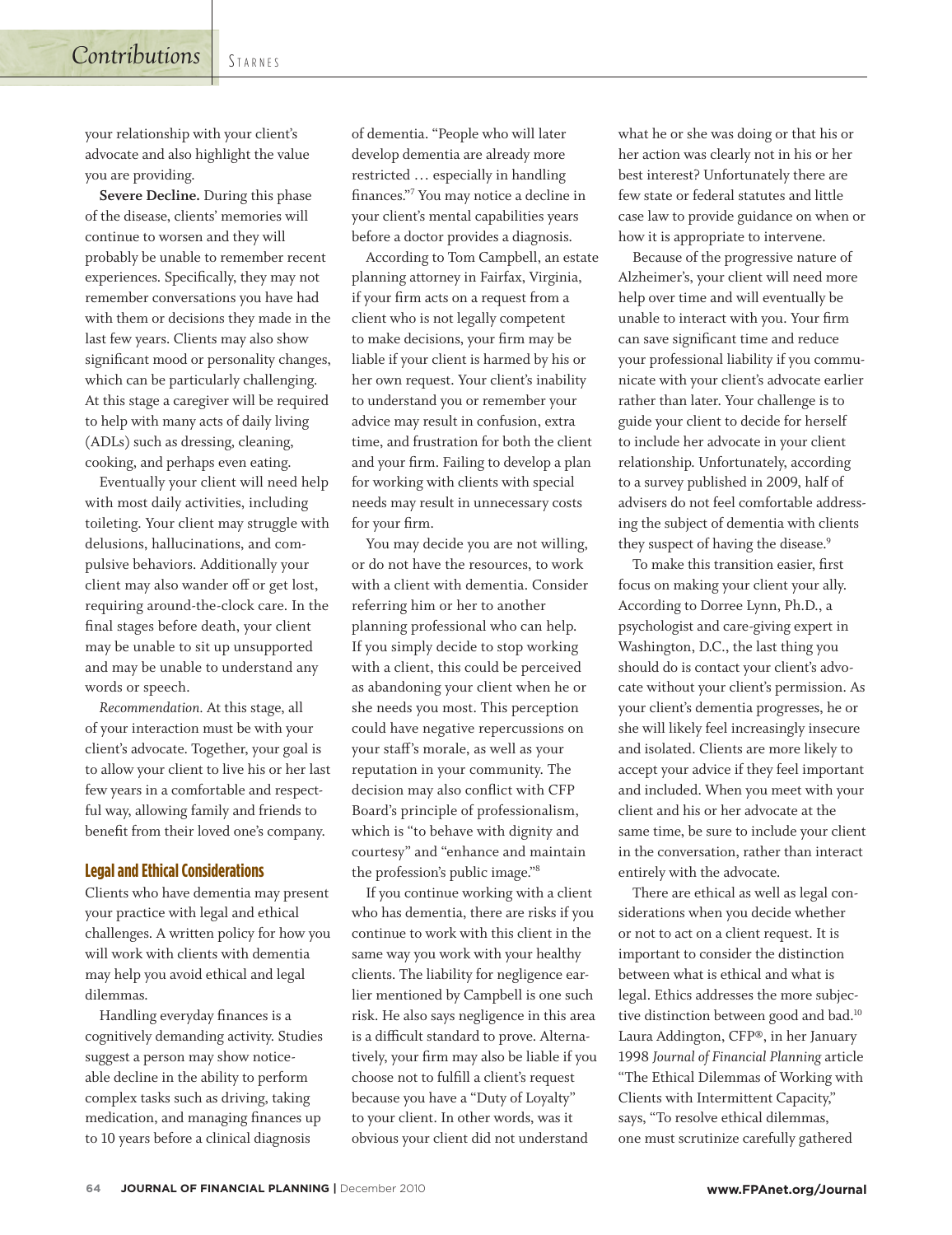your relationship with your client's advocate and also highlight the value you are providing.

**Severe Decline.** During this phase of the disease, clients' memories will continue to worsen and they will probably be unable to remember recent experiences. Specifically, they may not remember conversations you have had with them or decisions they made in the last few years. Clients may also show significant mood or personality changes, which can be particularly challenging. At this stage a caregiver will be required to help with many acts of daily living (ADLs) such as dressing, cleaning, cooking, and perhaps even eating.

Eventually your client will need help with most daily activities, including toileting. Your client may struggle with delusions, hallucinations, and compulsive behaviors. Additionally your client may also wander off or get lost, requiring around-the-clock care. In the final stages before death, your client may be unable to sit up unsupported and may be unable to understand any words or speech.

*Recommendation.* At this stage, all of your interaction must be with your client's advocate. Together, your goal is to allow your client to live his or her last few years in a comfortable and respectful way, allowing family and friends to benefit from their loved one's company.

#### **Legal and Ethical Considerations**

Clients who have dementia may present your practice with legal and ethical challenges. A written policy for how you will work with clients with dementia may help you avoid ethical and legal dilemmas.

Handling everyday finances is a cognitively demanding activity. Studies suggest a person may show noticeable decline in the ability to perform complex tasks such as driving, taking medication, and managing finances up to 10 years before a clinical diagnosis

of dementia. "People who will later develop dementia are already more restricted … especially in handling finances."7 You may notice a decline in your client's mental capabilities years before a doctor provides a diagnosis.

According to Tom Campbell, an estate planning attorney in Fairfax, Virginia, if your firm acts on a request from a client who is not legally competent to make decisions, your firm may be liable if your client is harmed by his or her own request. Your client's inability to understand you or remember your advice may result in confusion, extra time, and frustration for both the client and your firm. Failing to develop a plan for working with clients with special needs may result in unnecessary costs for your firm.

You may decide you are not willing, or do not have the resources, to work with a client with dementia. Consider referring him or her to another planning professional who can help. If you simply decide to stop working with a client, this could be perceived as abandoning your client when he or she needs you most. This perception could have negative repercussions on your staff's morale, as well as your reputation in your community. The decision may also conflict with CFP Board's principle of professionalism, which is "to behave with dignity and courtesy" and "enhance and maintain the profession's public image."8

If you continue working with a client who has dementia, there are risks if you continue to work with this client in the same way you work with your healthy clients. The liability for negligence earlier mentioned by Campbell is one such risk. He also says negligence in this area is a difficult standard to prove. Alternatively, your firm may also be liable if you choose not to fulfill a client's request because you have a "Duty of Loyalty" to your client. In other words, was it obvious your client did not understand

what he or she was doing or that his or her action was clearly not in his or her best interest? Unfortunately there are few state or federal statutes and little case law to provide guidance on when or how it is appropriate to intervene.

Because of the progressive nature of Alzheimer's, your client will need more help over time and will eventually be unable to interact with you. Your firm can save significant time and reduce your professional liability if you communicate with your client's advocate earlier rather than later. Your challenge is to guide your client to decide for herself to include her advocate in your client relationship. Unfortunately, according to a survey published in 2009, half of advisers do not feel comfortable addressing the subject of dementia with clients they suspect of having the disease.<sup>9</sup>

To make this transition easier, first focus on making your client your ally. According to Dorree Lynn, Ph.D., a psychologist and care-giving expert in Washington, D.C., the last thing you should do is contact your client's advocate without your client's permission. As your client's dementia progresses, he or she will likely feel increasingly insecure and isolated. Clients are more likely to accept your advice if they feel important and included. When you meet with your client and his or her advocate at the same time, be sure to include your client in the conversation, rather than interact entirely with the advocate.

There are ethical as well as legal considerations when you decide whether or not to act on a client request. It is important to consider the distinction between what is ethical and what is legal. Ethics addresses the more subjective distinction between good and bad.<sup>10</sup> Laura Addington, CFP®, in her January 1998 *Journal of Financial Planning* article "The Ethical Dilemmas of Working with Clients with Intermittent Capacity," says, "To resolve ethical dilemmas, one must scrutinize carefully gathered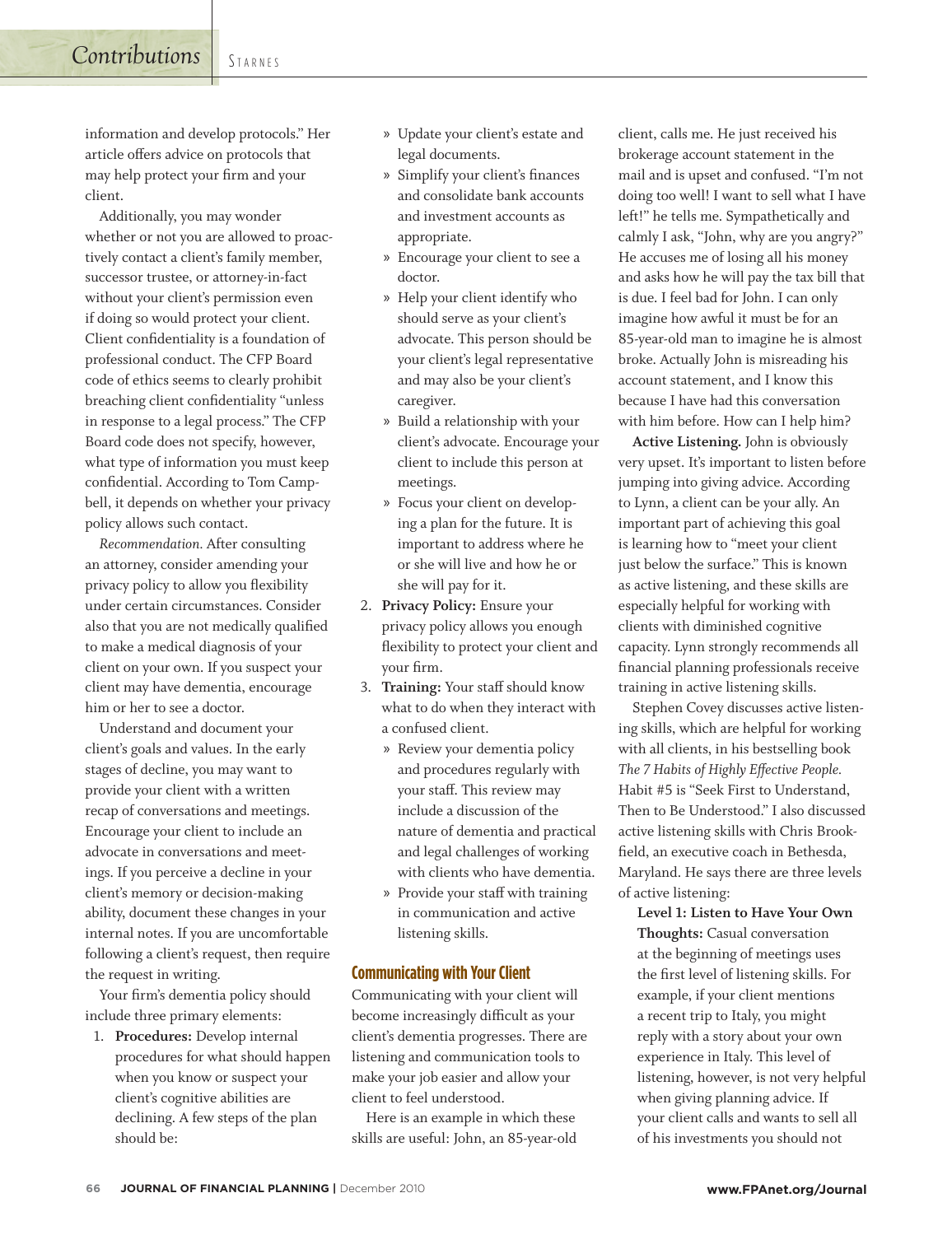information and develop protocols." Her article offers advice on protocols that may help protect your firm and your client.

**STARNES** 

*Contributions*

Additionally, you may wonder whether or not you are allowed to proactively contact a client's family member, successor trustee, or attorney-in-fact without your client's permission even if doing so would protect your client. Client confidentiality is a foundation of professional conduct. The CFP Board code of ethics seems to clearly prohibit breaching client confidentiality "unless in response to a legal process." The CFP Board code does not specify, however, what type of information you must keep confidential. According to Tom Campbell, it depends on whether your privacy policy allows such contact.

*Recommendation.* After consulting an attorney, consider amending your privacy policy to allow you flexibility under certain circumstances. Consider also that you are not medically qualified to make a medical diagnosis of your client on your own. If you suspect your client may have dementia, encourage him or her to see a doctor.

Understand and document your client's goals and values. In the early stages of decline, you may want to provide your client with a written recap of conversations and meetings. Encourage your client to include an advocate in conversations and meetings. If you perceive a decline in your client's memory or decision-making ability, document these changes in your internal notes. If you are uncomfortable following a client's request, then require the request in writing.

Your firm's dementia policy should include three primary elements:

1. **Procedures:** Develop internal procedures for what should happen when you know or suspect your client's cognitive abilities are declining. A few steps of the plan should be:

- » Update your client's estate and legal documents.
- » Simplify your client's finances and consolidate bank accounts and investment accounts as appropriate.
- » Encourage your client to see a doctor.
- » Help your client identify who should serve as your client's advocate. This person should be your client's legal representative and may also be your client's caregiver.
- » Build a relationship with your client's advocate. Encourage your client to include this person at meetings.
- » Focus your client on developing a plan for the future. It is important to address where he or she will live and how he or she will pay for it.
- 2. **Privacy Policy:** Ensure your privacy policy allows you enough flexibility to protect your client and your firm.
- 3. **Training:** Your staff should know what to do when they interact with a confused client.
	- » Review your dementia policy and procedures regularly with your staff. This review may include a discussion of the nature of dementia and practical and legal challenges of working with clients who have dementia.
	- » Provide your staff with training in communication and active listening skills.

#### **Communicating with Your Client**

Communicating with your client will become increasingly difficult as your client's dementia progresses. There are listening and communication tools to make your job easier and allow your client to feel understood.

Here is an example in which these skills are useful: John, an 85-year-old client, calls me. He just received his brokerage account statement in the mail and is upset and confused. "I'm not doing too well! I want to sell what I have left!" he tells me. Sympathetically and calmly I ask, "John, why are you angry?" He accuses me of losing all his money and asks how he will pay the tax bill that is due. I feel bad for John. I can only imagine how awful it must be for an 85-year-old man to imagine he is almost broke. Actually John is misreading his account statement, and I know this because I have had this conversation with him before. How can I help him?

**Active Listening.** John is obviously very upset. It's important to listen before jumping into giving advice. According to Lynn, a client can be your ally. An important part of achieving this goal is learning how to "meet your client just below the surface." This is known as active listening, and these skills are especially helpful for working with clients with diminished cognitive capacity. Lynn strongly recommends all financial planning professionals receive training in active listening skills.

Stephen Covey discusses active listening skills, which are helpful for working with all clients, in his bestselling book *The 7 Habits of Highly Effective People.*  Habit #5 is "Seek First to Understand, Then to Be Understood." I also discussed active listening skills with Chris Brookfield, an executive coach in Bethesda, Maryland. He says there are three levels of active listening:

**Level 1: Listen to Have Your Own Thoughts:** Casual conversation at the beginning of meetings uses the first level of listening skills. For example, if your client mentions a recent trip to Italy, you might reply with a story about your own experience in Italy. This level of listening, however, is not very helpful when giving planning advice. If your client calls and wants to sell all of his investments you should not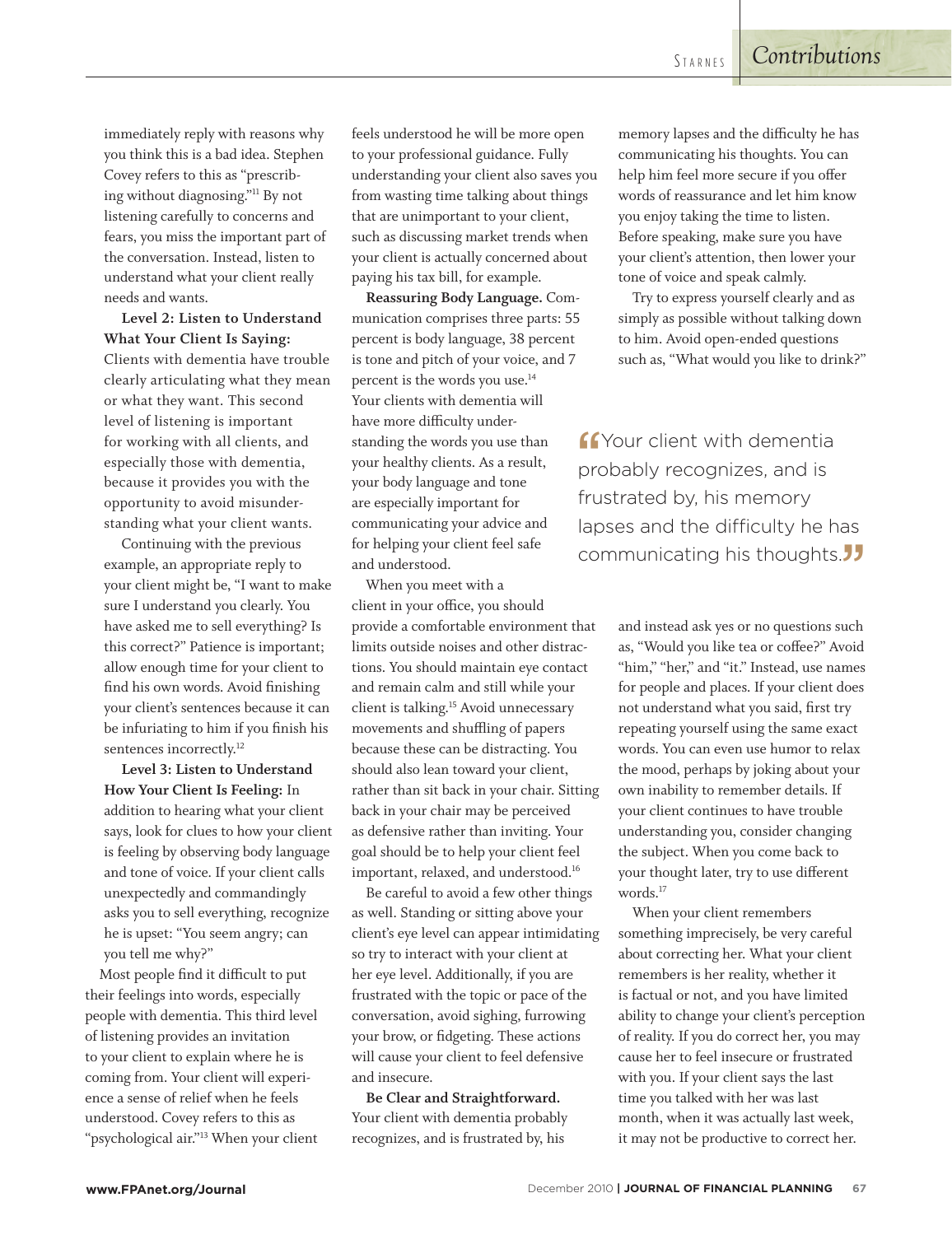immediately reply with reasons why you think this is a bad idea. Stephen Covey refers to this as "prescribing without diagnosing."11 By not listening carefully to concerns and fears, you miss the important part of the conversation. Instead, listen to understand what your client really needs and wants.

**Level 2: Listen to Understand What Your Client Is Saying:** Clients with dementia have trouble clearly articulating what they mean or what they want. This second level of listening is important for working with all clients, and especially those with dementia, because it provides you with the opportunity to avoid misunderstanding what your client wants.

Continuing with the previous example, an appropriate reply to your client might be, "I want to make sure I understand you clearly. You have asked me to sell everything? Is this correct?" Patience is important; allow enough time for your client to find his own words. Avoid finishing your client's sentences because it can be infuriating to him if you finish his sentences incorrectly.<sup>12</sup>

**Level 3: Listen to Understand How Your Client Is Feeling:** In addition to hearing what your client says, look for clues to how your client is feeling by observing body language and tone of voice. If your client calls unexpectedly and commandingly asks you to sell everything, recognize he is upset: "You seem angry; can you tell me why?"

Most people find it difficult to put their feelings into words, especially people with dementia. This third level of listening provides an invitation to your client to explain where he is coming from. Your client will experience a sense of relief when he feels understood. Covey refers to this as "psychological air."13 When your client feels understood he will be more open to your professional guidance. Fully understanding your client also saves you from wasting time talking about things that are unimportant to your client, such as discussing market trends when your client is actually concerned about paying his tax bill, for example.

**Reassuring Body Language.** Communication comprises three parts: 55 percent is body language, 38 percent is tone and pitch of your voice, and 7 percent is the words you use.14 Your clients with dementia will have more difficulty understanding the words you use than your healthy clients. As a result, your body language and tone are especially important for communicating your advice and for helping your client feel safe and understood.

When you meet with a client in your office, you should provide a comfortable environment that limits outside noises and other distractions. You should maintain eye contact and remain calm and still while your client is talking.15 Avoid unnecessary movements and shuffling of papers because these can be distracting. You should also lean toward your client, rather than sit back in your chair. Sitting back in your chair may be perceived as defensive rather than inviting. Your goal should be to help your client feel important, relaxed, and understood.<sup>16</sup>

Be careful to avoid a few other things as well. Standing or sitting above your client's eye level can appear intimidating so try to interact with your client at her eye level. Additionally, if you are frustrated with the topic or pace of the conversation, avoid sighing, furrowing your brow, or fidgeting. These actions will cause your client to feel defensive and insecure.

**Be Clear and Straightforward.**  Your client with dementia probably recognizes, and is frustrated by, his

memory lapses and the difficulty he has communicating his thoughts. You can help him feel more secure if you offer words of reassurance and let him know you enjoy taking the time to listen. Before speaking, make sure you have your client's attention, then lower your tone of voice and speak calmly.

Try to express yourself clearly and as simply as possible without talking down to him. Avoid open-ended questions such as, "What would you like to drink?"

**ff** Your client with dementia<br>probably recognizes, and is **C**Your client with dementia frustrated by, his memory lapses and the difficulty he has communicating his thoughts. $JJ$ 

> and instead ask yes or no questions such as, "Would you like tea or coffee?" Avoid "him," "her," and "it." Instead, use names for people and places. If your client does not understand what you said, first try repeating yourself using the same exact words. You can even use humor to relax the mood, perhaps by joking about your own inability to remember details. If your client continues to have trouble understanding you, consider changing the subject. When you come back to your thought later, try to use different words.<sup>17</sup>

> When your client remembers something imprecisely, be very careful about correcting her. What your client remembers is her reality, whether it is factual or not, and you have limited ability to change your client's perception of reality. If you do correct her, you may cause her to feel insecure or frustrated with you. If your client says the last time you talked with her was last month, when it was actually last week, it may not be productive to correct her.